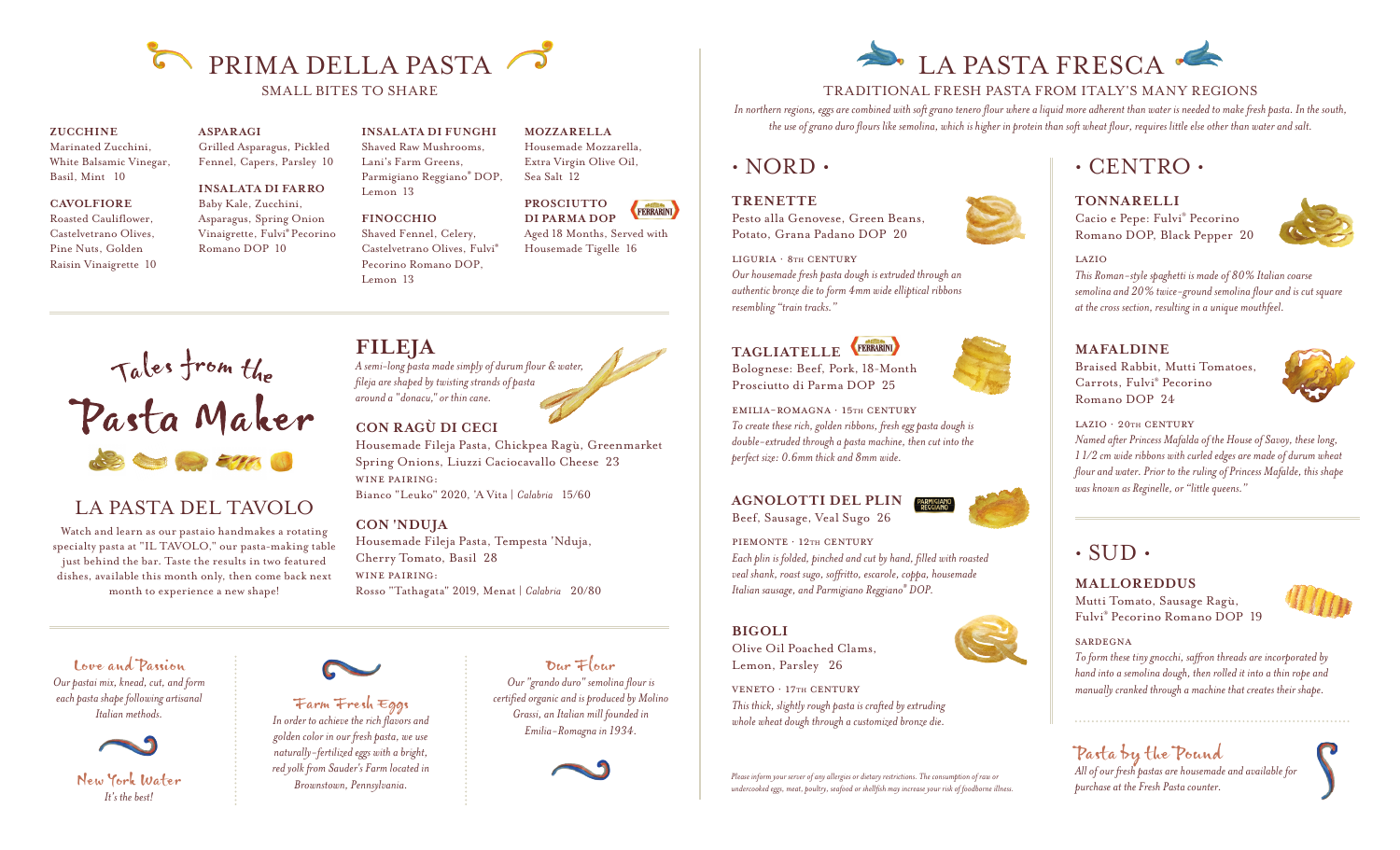

Lemon 13

Lemon 13

**FINOCCHIO** Shaved Fennel, Celery, Castelvetrano Olives, Fulvi® Pecorino Romano DOP,

#### **ZUCCHINE**

Marinated Zucchini, White Balsamic Vinegar, Basil, Mint 10

#### **CAVOLFIORE**

Roasted Cauliflower, Castelvetrano Olives, Pine Nuts, Golden Raisin Vinaigrette 10 **ASPARAGI** Grilled Asparagus, Pickled Fennel, Capers, Parsley 10

**INSALATA DI FARRO**  Baby Kale, Zucchini,

Asparagus, Spring Onion Vinaigrette, Fulvi® Pecorino Romano DOP 10

#### **INSALATA DI FUNGHI**

Shaved Raw Mushrooms, Lani's Farm Greens, Parmigiano Reggiano® DOP, Housemade Mozzarella, Extra Virgin Olive Oil, Sea Salt 12



Aged 18 Months, Served with Housemade Tigelle 16

**MOZZARELLA**

# Tales from the<br>Pasta Maker

# LA PASTA DEL TAVOLO

Watch and learn as our pastaio handmakes a rotating specialty pasta at "IL TAVOLO," our pasta-making table just behind the bar. Taste the results in two featured dishes, available this month only, then come back next month to experience a new shape!

**FILEJA** *A semi-long pasta made simply of durum flour & water, fileja are shaped by twisting strands of pasta around a "donacu," or thin cane.*

#### **CON RAGÙ DI CECI**

Housemade Fileja Pasta, Chickpea Ragù, Greenmarket Spring Onions, Liuzzi Caciocavallo Cheese 23 WINE PAIRING: Bianco "Leuko" 2020, 'A Vita | *Calabria* 15/60

#### **CON 'NDUJA**

Housemade Fileja Pasta, Tempesta 'Nduja, Cherry Tomato, Basil 28 WINE PAIRING: Rosso "Tathagata" 2019, Menat | *Calabria* 20/80

Love and Passion *Our pastai mix, knead, cut, and form each pasta shape following artisanal Italian methods.*



New York Water *It's the best!*



#### Farm Fresh Eggs *In order to achieve the rich flavors and golden color in our fresh pasta, we use naturally-fertilized eggs with a bright, red yolk from Sauder's Farm located in Brownstown, Pennsylvania.*

Our Flour *Our "grando duro" semolina flour is certified organic and is produced by Molino Grassi, an Italian mill founded in Emilia-Romagna in 1934.*



# LA PASTA FRESCA ·

#### TRADITIONAL FRESH PASTA FROM ITALY'S MANY REGIONS

*In northern regions, eggs are combined with soft grano tenero flour where a liquid more adherent than water is needed to make fresh pasta. In the south, the use of grano duro flours like semolina, which is higher in protein than soft wheat flour, requires little else other than water and salt.*

 $\cdot$  NORD $\cdot$ 

**TRENETTE** Pesto alla Genovese, Green Beans, Potato, Grana Padano DOP 20

Liguria · 8th century *Our housemade fresh pasta dough is extruded through an authentic bronze die to form 4mm wide elliptical ribbons resembling "train tracks."*

# TAGLIATELLE **(FERRARINI)**



Emilia-Romagna · 15th century *To create these rich, golden ribbons, fresh egg pasta dough is double-extruded through a pasta machine, then cut into the perfect size: 0.6mm thick and 8mm wide.*

#### **AGNOLOTTI DEL PLIN** Beef, Sausage, Veal Sugo 26

*Each plin is folded, pinched and cut by hand, filled with roasted veal shank, roast sugo, soffritto, escarole, coppa, housemade* 

## **BIGOLI** Lemon, Parsley 26

Veneto · 17th century *This thick, slightly rough pasta is crafted by extruding whole wheat dough through a customized bronze die.*

*Please inform your server of any allergies or dietary restrictions. The consumption of raw or undercooked eggs, meat, poultry, seafood or shellfish may increase your risk of foodborne illness.*

# • CENTRO •





lazio

*This Roman-style spaghetti is made of 80% Italian coarse semolina and 20% twice-ground semolina flour and is cut square at the cross section, resulting in a unique mouthfeel.*

#### **MAFALDINE**

Braised Rabbit, Mutti Tomatoes, Carrots, Fulvi® Pecorino Romano DOP 24



LAZIO · 20TH CENTURY

*Named after Princess Mafalda of the House of Savoy, these long, 1 1/2 cm wide ribbons with curled edges are made of durum wheat flour and water. Prior to the ruling of Princess Mafalde, this shape was known as Reginelle, or "little queens."* 

## $\cdot$  SUD  $\cdot$

**MALLOREDDUS**

Mutti Tomato, Sausage Ragù, Fulvi® Pecorino Romano DOP 19



#### sardegna

*To form these tiny gnocchi, saffron threads are incorporated by hand into a semolina dough, then rolled it into a thin rope and manually cranked through a machine that creates their shape.*



PIEMONTE · 12TH CENTURY

*Italian sausage, and Parmigiano Reggiano® DOP.*

Olive Oil Poached Clams,